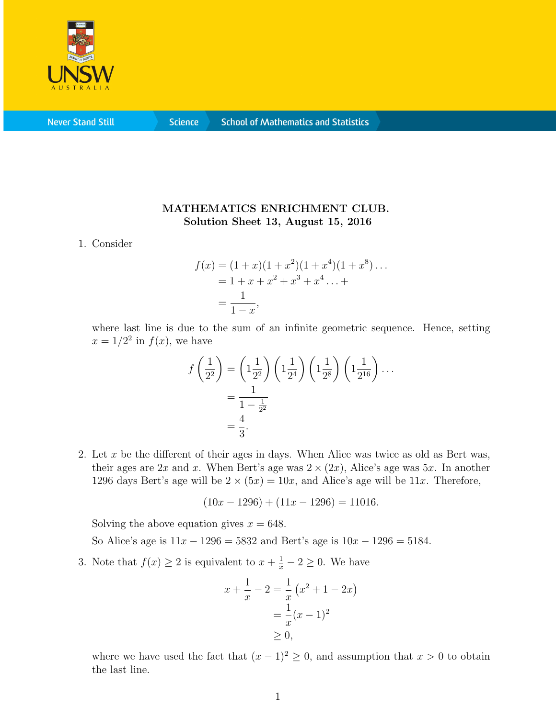

**Never Stand Still** 

**Science** 

## MATHEMATICS ENRICHMENT CLUB. Solution Sheet 13, August 15, 2016

1. Consider

$$
f(x) = (1+x)(1+x^2)(1+x^4)(1+x^8)\dots
$$
  
= 1+x+x<sup>2</sup>+x<sup>3</sup>+x<sup>4</sup>...+  
=  $\frac{1}{1-x}$ ,

where last line is due to the sum of an infinite geometric sequence. Hence, setting  $x = 1/2^2$  in  $f(x)$ , we have

$$
f\left(\frac{1}{2^2}\right) = \left(1\frac{1}{2^2}\right)\left(1\frac{1}{2^4}\right)\left(1\frac{1}{2^8}\right)\left(1\frac{1}{2^{16}}\right)\dots
$$

$$
= \frac{1}{1 - \frac{1}{2^2}}
$$

$$
= \frac{4}{3}.
$$

2. Let  $x$  be the different of their ages in days. When Alice was twice as old as Bert was, their ages are  $2x$  and x. When Bert's age was  $2 \times (2x)$ , Alice's age was 5x. In another 1296 days Bert's age will be  $2 \times (5x) = 10x$ , and Alice's age will be 11x. Therefore,

$$
(10x - 1296) + (11x - 1296) = 11016.
$$

Solving the above equation gives  $x = 648$ .

So Alice's age is  $11x - 1296 = 5832$  and Bert's age is  $10x - 1296 = 5184$ .

3. Note that  $f(x) \ge 2$  is equivalent to  $x + \frac{1}{x} - 2 \ge 0$ . We have

$$
x + \frac{1}{x} - 2 = \frac{1}{x} (x^2 + 1 - 2x)
$$
  
=  $\frac{1}{x} (x - 1)^2$   
 $\ge 0$ ,

where we have used the fact that  $(x - 1)^2 \geq 0$ , and assumption that  $x > 0$  to obtain the last line.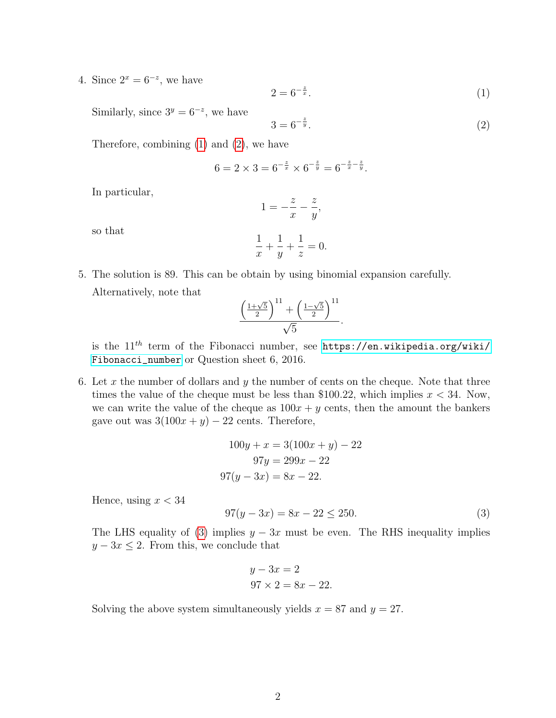4. Since  $2^x = 6^{-z}$ , we have

<span id="page-1-0"></span>
$$
2 = 6^{-\frac{z}{x}}.\t(1)
$$

Similarly, since  $3^y = 6^{-z}$ , we have

<span id="page-1-1"></span>
$$
3 = 6^{-\frac{z}{y}}.\t(2)
$$

Therefore, combining [\(1\)](#page-1-0) and [\(2\)](#page-1-1), we have

$$
6 = 2 \times 3 = 6^{-\frac{z}{x}} \times 6^{-\frac{z}{y}} = 6^{-\frac{z}{x} - \frac{z}{y}}.
$$

In particular,

$$
1 = -\frac{z}{x} - \frac{z}{y},
$$

so that

$$
\frac{1}{x} + \frac{1}{y} + \frac{1}{z} = 0.
$$

5. The solution is 89. This can be obtain by using binomial expansion carefully. Alternatively, note that

$$
\frac{\left(\frac{1+\sqrt{5}}{2}\right)^{11}+\left(\frac{1-\sqrt{5}}{2}\right)^{11}}{\sqrt{5}}.
$$

is the  $11^{th}$  term of the Fibonacci number, see [https://en.wikipedia.org/wiki/](https://en.wikipedia.org/wiki/Fibonacci_number) [Fibonacci\\_number](https://en.wikipedia.org/wiki/Fibonacci_number) or Question sheet 6, 2016.

6. Let x the number of dollars and y the number of cents on the cheque. Note that three times the value of the cheque must be less than \$100.22, which implies  $x < 34$ . Now, we can write the value of the cheque as  $100x + y$  cents, then the amount the bankers gave out was  $3(100x + y) - 22$  cents. Therefore,

$$
100y + x = 3(100x + y) - 22
$$

$$
97y = 299x - 22
$$

$$
97(y - 3x) = 8x - 22.
$$

Hence, using  $x < 34$ 

<span id="page-1-2"></span>
$$
97(y - 3x) = 8x - 22 \le 250.
$$
\n(3)

The LHS equality of [\(3\)](#page-1-2) implies  $y - 3x$  must be even. The RHS inequality implies  $y - 3x \leq 2$ . From this, we conclude that

$$
y - 3x = 2
$$
  

$$
97 \times 2 = 8x - 22.
$$

Solving the above system simultaneously yields  $x = 87$  and  $y = 27$ .